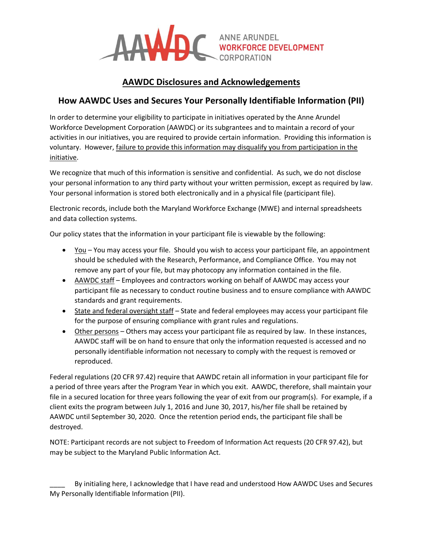

# **AAWDC Disclosures and Acknowledgements**

### **How AAWDC Uses and Secures Your Personally Identifiable Information (PII)**

In order to determine your eligibility to participate in initiatives operated by the Anne Arundel Workforce Development Corporation (AAWDC) or its subgrantees and to maintain a record of your activities in our initiatives, you are required to provide certain information. Providing this information is voluntary. However, failure to provide this information may disqualify you from participation in the initiative.

We recognize that much of this information is sensitive and confidential. As such, we do not disclose your personal information to any third party without your written permission, except as required by law. Your personal information is stored both electronically and in a physical file (participant file).

Electronic records, include both the Maryland Workforce Exchange (MWE) and internal spreadsheets and data collection systems.

Our policy states that the information in your participant file is viewable by the following:

- You You may access your file. Should you wish to access your participant file, an appointment should be scheduled with the Research, Performance, and Compliance Office. You may not remove any part of your file, but may photocopy any information contained in the file.
- AAWDC staff Employees and contractors working on behalf of AAWDC may access your participant file as necessary to conduct routine business and to ensure compliance with AAWDC standards and grant requirements.
- State and federal oversight staff State and federal employees may access your participant file for the purpose of ensuring compliance with grant rules and regulations.
- Other persons Others may access your participant file as required by law. In these instances, AAWDC staff will be on hand to ensure that only the information requested is accessed and no personally identifiable information not necessary to comply with the request is removed or reproduced.

Federal regulations (20 CFR 97.42) require that AAWDC retain all information in your participant file for a period of three years after the Program Year in which you exit. AAWDC, therefore, shall maintain your file in a secured location for three years following the year of exit from our program(s). For example, if a client exits the program between July 1, 2016 and June 30, 2017, his/her file shall be retained by AAWDC until September 30, 2020. Once the retention period ends, the participant file shall be destroyed.

NOTE: Participant records are not subject to Freedom of Information Act requests (20 CFR 97.42), but may be subject to the Maryland Public Information Act.

By initialing here, I acknowledge that I have read and understood How AAWDC Uses and Secures My Personally Identifiable Information (PII).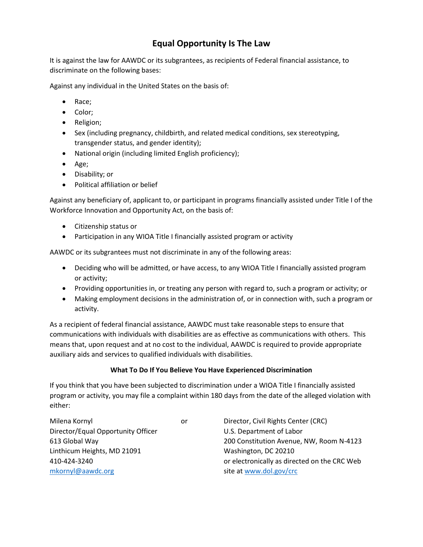# **Equal Opportunity Is The Law**

It is against the law for AAWDC or its subgrantees, as recipients of Federal financial assistance, to discriminate on the following bases:

Against any individual in the United States on the basis of:

- Race;
- Color;
- Religion;
- Sex (including pregnancy, childbirth, and related medical conditions, sex stereotyping, transgender status, and gender identity);
- National origin (including limited English proficiency);
- Age;
- Disability; or
- Political affiliation or belief

Against any beneficiary of, applicant to, or participant in programs financially assisted under Title I of the Workforce Innovation and Opportunity Act, on the basis of:

- Citizenship status or
- Participation in any WIOA Title I financially assisted program or activity

AAWDC or its subgrantees must not discriminate in any of the following areas:

- Deciding who will be admitted, or have access, to any WIOA Title I financially assisted program or activity;
- Providing opportunities in, or treating any person with regard to, such a program or activity; or
- Making employment decisions in the administration of, or in connection with, such a program or activity.

As a recipient of federal financial assistance, AAWDC must take reasonable steps to ensure that communications with individuals with disabilities are as effective as communications with others. This means that, upon request and at no cost to the individual, AAWDC is required to provide appropriate auxiliary aids and services to qualified individuals with disabilities.

#### **What To Do If You Believe You Have Experienced Discrimination**

If you think that you have been subjected to discrimination under a WIOA Title I financially assisted program or activity, you may file a complaint within 180 days from the date of the alleged violation with either:

Milena Kornyl or Director, Civil Rights Center (CRC) Director/Equal Opportunity Officer U.S. Department of Labor Linthicum Heights, MD 21091 Washington, DC 20210 [mkornyl@aawdc.org](mailto:mkornyl@aawdc.org) site at [www.dol.gov/crc](http://www.dol.gov/crc)

613 Global Way 200 Constitution Avenue, NW, Room N-4123 410-424-3240 or electronically as directed on the CRC Web